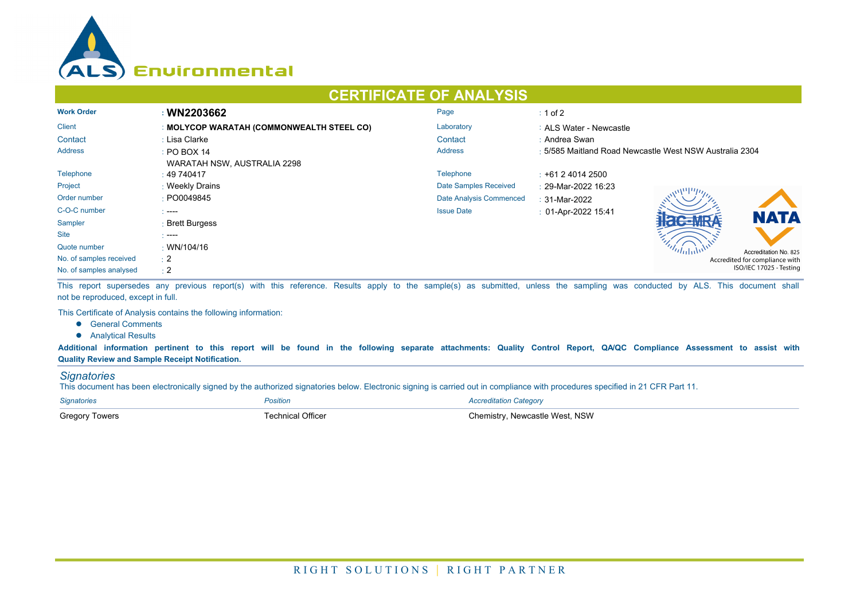

## **CERTIFICATE OF ANALYSIS**

| <b>Work Order</b>       | : WN2203662                               | Page                    | $\div$ 1 of 2                                           |  |  |
|-------------------------|-------------------------------------------|-------------------------|---------------------------------------------------------|--|--|
| <b>Client</b>           | : MOLYCOP WARATAH (COMMONWEALTH STEEL CO) | Laboratory              | : ALS Water - Newcastle                                 |  |  |
| Contact                 | : Lisa Clarke                             | Contact                 | : Andrea Swan                                           |  |  |
| Address                 | $\div$ PO BOX 14                          | <b>Address</b>          | : 5/585 Maitland Road Newcastle West NSW Australia 2304 |  |  |
|                         | WARATAH NSW, AUSTRALIA 2298               |                         |                                                         |  |  |
| Telephone               | $\pm 49\,740417$                          | Telephone               | $\pm$ +61 2 4014 2500                                   |  |  |
| Project                 | : Weekly Drains                           | Date Samples Received   | : 29-Mar-2022 16:23                                     |  |  |
| Order number            | : PO0049845                               | Date Analysis Commenced | $: 31-Mar-2022$                                         |  |  |
| C-O-C number            | $\sim$ ----                               | <b>Issue Date</b>       | $: 01-Apr-202215:41$                                    |  |  |
| Sampler                 | : Brett Burgess                           |                         | <b>NATA</b>                                             |  |  |
| <b>Site</b>             | $\sim$ ----                               |                         |                                                         |  |  |
| Quote number            | $\cdot$ WN/104/16                         |                         | Accreditation No. 825                                   |  |  |
| No. of samples received | $\pm 2$                                   |                         | Accredited for compliance with                          |  |  |
| No. of samples analysed | $\div 2$                                  |                         | ISO/IEC 17025 - Testing                                 |  |  |

This report supersedes any previous report(s) with this reference. Results apply to the sample(s) as submitted, unless the sampling was conducted by ALS. This document shall not be reproduced, except in full.

This Certificate of Analysis contains the following information:

- **•** General Comments
- **•** Analytical Results

**Additional information pertinent to this report will be found in the following separate attachments: Quality Control Report, QA/QC Compliance Assessment to assist with Quality Review and Sample Receipt Notification.**

## *Signatories*

This document has been electronically signed by the authorized signatories below. Electronic signing is carried out in compliance with procedures specified in 21 CFR Part 11.

| <b>Signatories</b>    | Position                 | <b>Accreditation Category</b>  |
|-----------------------|--------------------------|--------------------------------|
| <b>Gregory Towers</b> | <b>Fechnical Officer</b> | Chemistry. Newcastle West. NSW |